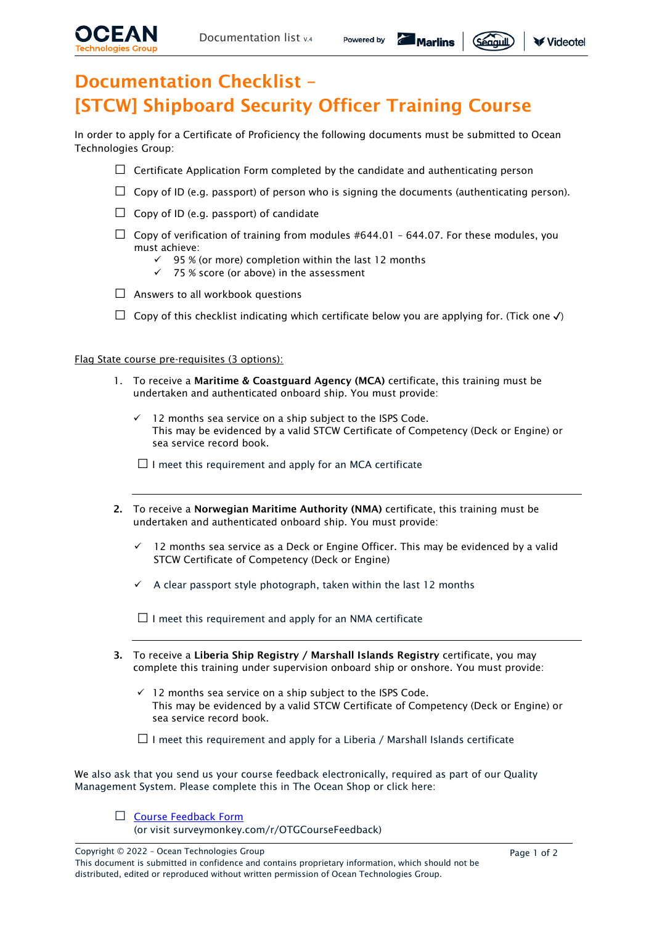

Segguil

# Documentation Checklist – [STCW] Shipboard Security Officer Training Course

In order to apply for a Certificate of Proficiency the following documents must be submitted to Ocean Technologies Group:

- $\Box$  Certificate Application Form completed by the candidate and authenticating person
- $\Box$  Copy of ID (e.g. passport) of person who is signing the documents (authenticating person).
- $\Box$  Copy of ID (e.g. passport) of candidate
- $\Box$  Copy of verification of training from modules #644.01 644.07. For these modules, you must achieve:
	- $\checkmark$  95 % (or more) completion within the last 12 months
	- ✓ 75 % score (or above) in the assessment
- $\Box$  Answers to all workbook questions
- $\Box$  Copy of this checklist indicating which certificate below you are applying for. (Tick one  $\checkmark$ )

#### Flag State course pre-requisites (3 options):

- 1. To receive a Maritime & Coastguard Agency (MCA) certificate, this training must be undertaken and authenticated onboard ship. You must provide:
	- 12 months sea service on a ship subject to the ISPS Code. This may be evidenced by a valid STCW Certificate of Competency (Deck or Engine) or sea service record book.
	- $\square$  I meet this requirement and apply for an MCA certificate
- 2. To receive a Norwegian Maritime Authority (NMA) certificate, this training must be undertaken and authenticated onboard ship. You must provide:
	- $\checkmark$  12 months sea service as a Deck or Engine Officer. This may be evidenced by a valid STCW Certificate of Competency (Deck or Engine)
	- $\checkmark$  A clear passport style photograph, taken within the last 12 months

 $\Box$  I meet this requirement and apply for an NMA certificate

- 3. To receive a Liberia Ship Registry / Marshall Islands Registry certificate, you may complete this training under supervision onboard ship or onshore. You must provide:
	- ✓ 12 months sea service on a ship subject to the ISPS Code. This may be evidenced by a valid STCW Certificate of Competency (Deck or Engine) or sea service record book.
	- $\Box$  I meet this requirement and apply for a Liberia / Marshall Islands certificate

We also ask that you send us your course feedback electronically, required as part of our Quality Management System. Please complete this in The Ocean Shop or click here:



(or visit surveymonkey.com/r/OTGCourseFeedback)

Copyright © 2022 – Ocean Technologies Group